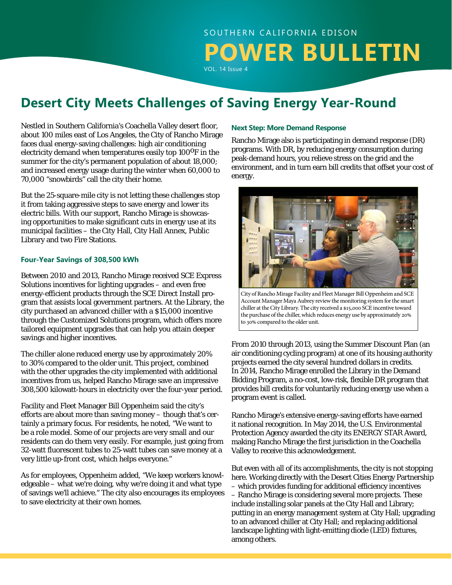# SOUTHERN CALIFORNIA EDISON **POWER BULLETIN** VOL. 14 Issue 4

**Desert City Meets Challenges of Saving Energy Year-Round**

Nestled in Southern California's Coachella Valley desert floor, about 100 miles east of Los Angeles, the City of Rancho Mirage faces dual energy-saving challenges: high air conditioning electricity demand when temperatures easily top  $100^{\circ}$ F in the summer for the city's permanent population of about 18,000; and increased energy usage during the winter when 60,000 to 70,000 "snowbirds" call the city their home.

But the 25-square-mile city is not letting these challenges stop it from taking aggressive steps to save energy and lower its electric bills. With our support, Rancho Mirage is showcasing opportunities to make significant cuts in energy use at its municipal facilities – the City Hall, City Hall Annex, Public Library and two Fire Stations.

#### **Four-Year Savings of 308,500 kWh**

Between 2010 and 2013, Rancho Mirage received SCE Express Solutions incentives for lighting upgrades – and even free energy-efficient products through the SCE Direct Install program that assists local government partners. At the Library, the city purchased an advanced chiller with a \$15,000 incentive through the Customized Solutions program, which offers more tailored equipment upgrades that can help you attain deeper savings and higher incentives.

The chiller alone reduced energy use by approximately 20% to 30% compared to the older unit. This project, combined with the other upgrades the city implemented with additional incentives from us, helped Rancho Mirage save an impressive 308,500 kilowatt-hours in electricity over the four-year period.

Facility and Fleet Manager Bill Oppenheim said the city's efforts are about more than saving money – though that's certainly a primary focus. For residents, he noted, "We want to be a role model. Some of our projects are very small and our residents can do them very easily. For example, just going from 32-watt fluorescent tubes to 25-watt tubes can save money at a very little up-front cost, which helps everyone."

As for employees, Oppenheim added, "We keep workers knowledgeable – what we're doing, why we're doing it and what type of savings we'll achieve." The city also encourages its employees to save electricity at their own homes.

#### **Next Step: More Demand Response**

Rancho Mirage also is participating in demand response (DR) programs. With DR, by reducing energy consumption during peak-demand hours, you relieve stress on the grid and the environment, and in turn earn bill credits that offset your cost of energy.



City of Rancho Mirage Facility and Fleet Manager Bill Oppenheim and SCE Account Manager Maya Aubrey review the monitoring system for the smart chiller at the City Library. The city received a \$15,000 SCE incentive toward the purchase of the chiller, which reduces energy use by approximately 20% to 30% compared to the older unit.

From 2010 through 2013, using the Summer Discount Plan (an air conditioning cycling program) at one of its housing authority projects earned the city several hundred dollars in credits. In 2014, Rancho Mirage enrolled the Library in the Demand Bidding Program, a no-cost, low-risk, flexible DR program that provides bill credits for voluntarily reducing energy use when a program event is called.

Rancho Mirage's extensive energy-saving efforts have earned it national recognition. In May 2014, the U.S. Environmental Protection Agency awarded the city its ENERGY STAR Award, making Rancho Mirage the first jurisdiction in the Coachella Valley to receive this acknowledgement.

But even with all of its accomplishments, the city is not stopping here. Working directly with the Desert Cities Energy Partnership – which provides funding for additional efficiency incentives – Rancho Mirage is considering several more projects. These include installing solar panels at the City Hall and Library; putting in an energy management system at City Hall; upgrading to an advanced chiller at City Hall; and replacing additional landscape lighting with light-emitting diode (LED) fixtures, among others.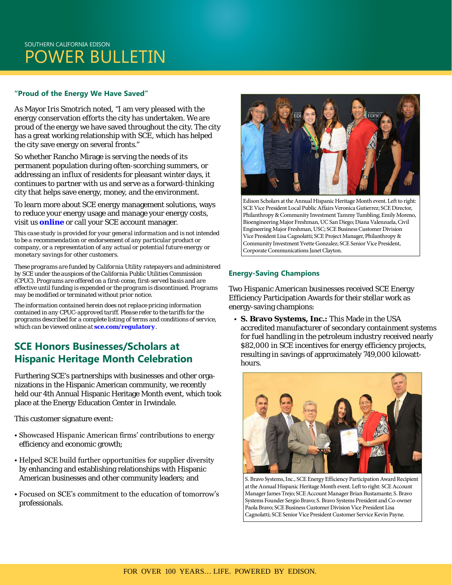## SOUTHERN CALIFORNIA EDISON POWER BULLETIN

#### **"Proud of the Energy We Have Saved"**

As Mayor Iris Smotrich noted, "I am very pleased with the energy conservation efforts the city has undertaken. We are proud of the energy we have saved throughout the city. The city has a great working relationship with SCE, which has helped the city save energy on several fronts."

So whether Rancho Mirage is serving the needs of its permanent population during often-scorching summers, or addressing an influx of residents for pleasant winter days, it continues to partner with us and serve as a forward-thinking city that helps save energy, money, and the environment.

To learn more about SCE energy management solutions, ways to reduce your energy usage and manage your energy costs, visit us *[online](http://www.sce.com/business)* or call your SCE account manager.

*This case study is provided for your general information and is not intended to be a recommendation or endorsement of any particular product or company, or a representation of any actual or potential future energy or monetary savings for other customers.* 

*These programs are funded by California Utility ratepayers and administered by SCE under the auspices of the California Public Utilities Commission (CPUC). Programs are offered on a first-come, first-served basis and are effective until funding is expended or the program is discontinued. Programs may be modified or terminated without prior notice.*

*The information contained herein does not replace pricing information contained in any CPUC-approved tariff. Please refer to the tariffs for the programs described for a complete listing of terms and conditions of service, which can be viewed online at [sce.com/regulatory](https://www.sce.com/wps/portal/home/regulatory/!ut/p/b1/04_Sj9CPykssy0xPLMnMz0vMAfGjzOINLdwdPTyDDTwtfAKNDTydnDz9zdxMjA28jYAKIoEKDHAARwNC-sP1o8BKLN0NXD28_A083UNASowDDfyCHR2NDQzMoArwWFGQG2GQ6aioCAARcvIr/dl4/d5/L2dBISEvZ0FBIS9nQSEh/?from=regulatory).*

### **SCE Honors Businesses/Scholars at Hispanic Heritage Month Celebration**

Furthering SCE's partnerships with businesses and other organizations in the Hispanic American community, we recently held our 4th Annual Hispanic Heritage Month event, which took place at the Energy Education Center in Irwindale.

This customer signature event:

- Showcased Hispanic American firms' contributions to energy efficiency and economic growth;
- Helped SCE build further opportunities for supplier diversity by enhancing and establishing relationships with Hispanic American businesses and other community leaders; and
- Focused on SCE's commitment to the education of tomorrow's professionals.



Edison Scholars at the Annual Hispanic Heritage Month event. Left to right: SCE Vice President Local Public Affairs Veronica Gutierrez; SCE Director, Philanthropy & Community Investment Tammy Tumbling; Emily Moreno, Bioengineering Major Freshman, UC San Diego; Diana Valenzuela, Civil Engineering Major Freshman, USC; SCE Business Customer Division Vice President Lisa Cagnolatti; SCE Project Manager, Philanthropy & Community Investment Yvette Gonzalez; SCE Senior Vice President, Corporate Communications Janet Clayton.

#### **Energy-Saving Champions**

Two Hispanic American businesses received SCE Energy Efficiency Participation Awards for their stellar work as energy-saving champions:

 • **S. Bravo Systems, Inc.:** This Made in the USA accredited manufacturer of secondary containment systems for fuel handling in the petroleum industry received nearly \$82,000 in SCE incentives for energy efficiency projects, resulting in savings of approximately 749,000 kilowatthours.



S. Bravo Systems, Inc., SCE Energy Efficiency Participation Award Recipient at the Annual Hispanic Heritage Month event. Left to right: SCE Account Manager James Trejo; SCE Account Manager Brian Bustamante; S. Bravo Systems Founder Sergio Bravo; S. Bravo Systems President and Co-owner Paola Bravo; SCE Business Customer Division Vice President Lisa Cagnolatti; SCE Senior Vice President Customer Service Kevin Payne.